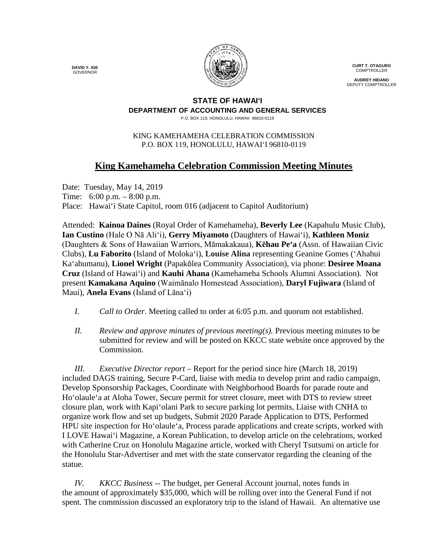**DAVID Y. IGE** GOVERNOR



**CURT T. OTAGURO** COMPTROLLER

**AUDREY HIDANO** DEPUTY COMPTROLLER

#### **STATE OF HAWAI'I DEPARTMENT OF ACCOUNTING AND GENERAL SERVICES** P.O. BOX 119, HONOLULU, HAWAII 96810-0119

### KING KAMEHAMEHA CELEBRATION COMMISSION P.O. BOX 119, HONOLULU, HAWAIʻI 96810-0119

# **King Kamehameha Celebration Commission Meeting Minutes**

Date: Tuesday, May 14, 2019 Time: 6:00 p.m. – 8:00 p.m. Place: Hawai'i State Capitol, room 016 (adjacent to Capitol Auditorium)

Attended: **Kainoa Daines** (Royal Order of Kamehameha), **Beverly Lee** (Kapahulu Music Club), **Ian Custino** (Hale O Nā Ali'i), **Gerry Miyamoto** (Daughters of Hawai'i), **Kathleen Moniz** (Daughters & Sons of Hawaiian Warriors, Māmakakaua), **Kēhau Pe'a** (Assn. of Hawaiian Civic Clubs), **Lu Faborito** (Island of Moloka'i), **Louise Alina** representing Geanine Gomes ('Ahahui Ka'ahumanu), **Lionel Wright** (Papakōlea Community Association), via phone: **Desiree Moana Cruz** (Island of Hawai'i) and **Kauhi Ahana** (Kamehameha Schools Alumni Association). Not present **Kamakana Aquino** (Waimānalo Homestead Association), **Daryl Fujiwara** (Island of Maui), **Anela Evans** (Island of Lāna'i)

- *I. Call to Order*. Meeting called to order at 6:05 p.m. and quorum not established.
- *II. Review and approve minutes of previous meeting(s).* Previous meeting minutes to be submitted for review and will be posted on KKCC state website once approved by the Commission.

*III. Executive Director report* – Report for the period since hire (March 18, 2019) included DAGS training, Secure P-Card, liaise with media to develop print and radio campaign, Develop Sponsorship Packages, Coordinate with Neighborhood Boards for parade route and Ho'olaule'a at Aloha Tower, Secure permit for street closure, meet with DTS to review street closure plan, work with Kapi'olani Park to secure parking lot permits, Liaise with CNHA to organize work flow and set up budgets, Submit 2020 Parade Application to DTS, Performed HPU site inspection for Ho'olaule'a, Process parade applications and create scripts, worked with I LOVE Hawai'i Magazine, a Korean Publication, to develop article on the celebrations, worked with Catherine Cruz on Honolulu Magazine article, worked with Cheryl Tsutsumi on article for the Honolulu Star-Advertiser and met with the state conservator regarding the cleaning of the statue.

*IV. KKCC Business* -- The budget, per General Account journal, notes funds in the amount of approximately \$35,000, which will be rolling over into the General Fund if not spent. The commission discussed an exploratory trip to the island of Hawaii. An alternative use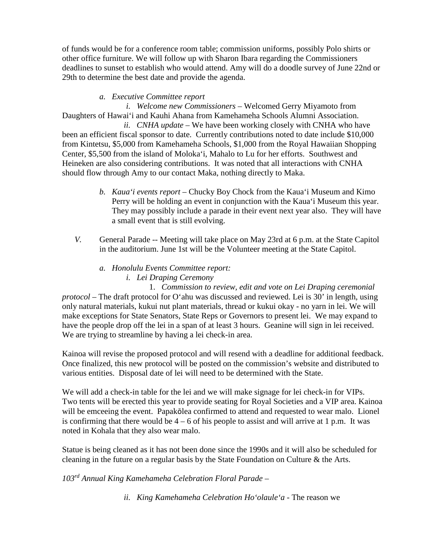of funds would be for a conference room table; commission uniforms, possibly Polo shirts or other office furniture. We will follow up with Sharon Ibara regarding the Commissioners deadlines to sunset to establish who would attend. Amy will do a doodle survey of June 22nd or 29th to determine the best date and provide the agenda.

## *a. Executive Committee report*

*i. Welcome new Commissioners* – Welcomed Gerry Miyamoto from Daughters of Hawai'i and Kauhi Ahana from Kamehameha Schools Alumni Association.

*ii. CNHA update* – We have been working closely with CNHA who have been an efficient fiscal sponsor to date. Currently contributions noted to date include \$10,000 from Kintetsu, \$5,000 from Kamehameha Schools, \$1,000 from the Royal Hawaiian Shopping Center, \$5,500 from the island of Moloka'i, Mahalo to Lu for her efforts. Southwest and Heineken are also considering contributions. It was noted that all interactions with CNHA should flow through Amy to our contact Maka, nothing directly to Maka.

- *b. Kaua'i events report* Chucky Boy Chock from the Kaua'i Museum and Kimo Perry will be holding an event in conjunction with the Kaua'i Museum this year. They may possibly include a parade in their event next year also. They will have a small event that is still evolving.
- *V.* General Parade -- Meeting will take place on May 23rd at 6 p.m. at the State Capitol in the auditorium. June 1st will be the Volunteer meeting at the State Capitol.
	- *a. Honolulu Events Committee report: i. Lei Draping Ceremony*

1. *Commission to review, edit and vote on Lei Draping ceremonial protocol* – The draft protocol for O'ahu was discussed and reviewed. Lei is 30' in length, using only natural materials, kukui nut plant materials, thread or kukui okay - no yarn in lei. We will make exceptions for State Senators, State Reps or Governors to present lei. We may expand to have the people drop off the lei in a span of at least 3 hours. Geanine will sign in lei received. We are trying to streamline by having a lei check-in area.

Kainoa will revise the proposed protocol and will resend with a deadline for additional feedback. Once finalized, this new protocol will be posted on the commission's website and distributed to various entities. Disposal date of lei will need to be determined with the State.

We will add a check-in table for the lei and we will make signage for lei check-in for VIPs. Two tents will be erected this year to provide seating for Royal Societies and a VIP area. Kainoa will be emceeing the event. Papakōlea confirmed to attend and requested to wear malo. Lionel is confirming that there would be  $4 - 6$  of his people to assist and will arrive at 1 p.m. It was noted in Kohala that they also wear malo.

Statue is being cleaned as it has not been done since the 1990s and it will also be scheduled for cleaning in the future on a regular basis by the State Foundation on Culture & the Arts.

*103rd Annual King Kamehameha Celebration Floral Parade* –

*ii. King Kamehameha Celebration Ho'olaule'a* - The reason we